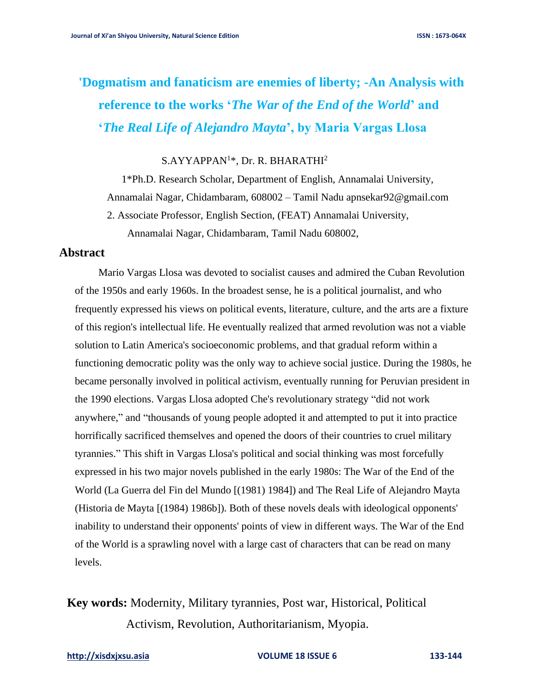# **'Dogmatism and fanaticism are enemies of liberty; -An Analysis with reference to the works '***The War of the End of the World***' and '***The Real Life of Alejandro Mayta***', by Maria Vargas Llosa**

 $S.AYYAPPAN<sup>1</sup>*, Dr. R. BHARATHI<sup>2</sup>$ 

1\*Ph.D. Research Scholar, Department of English, Annamalai University, Annamalai Nagar, Chidambaram, 608002 – Tamil N[adu apnsekar92@gmail.com](mailto:du%20apnsekar92@gmail.com) 2. Associate Professor, English Section, (FEAT) Annamalai University, Annamalai Nagar, Chidambaram, Tamil Nadu 608002,

## **Abstract**

Mario Vargas Llosa was devoted to socialist causes and admired the Cuban Revolution of the 1950s and early 1960s. In the broadest sense, he is a political journalist, and who frequently expressed his views on political events, literature, culture, and the arts are a fixture of this region's intellectual life. He eventually realized that armed revolution was not a viable solution to Latin America's socioeconomic problems, and that gradual reform within a functioning democratic polity was the only way to achieve social justice. During the 1980s, he became personally involved in political activism, eventually running for Peruvian president in the 1990 elections. Vargas Llosa adopted Che's revolutionary strategy "did not work anywhere," and "thousands of young people adopted it and attempted to put it into practice horrifically sacrificed themselves and opened the doors of their countries to cruel military tyrannies." This shift in Vargas Llosa's political and social thinking was most forcefully expressed in his two major novels published in the early 1980s: The War of the End of the World (La Guerra del Fin del Mundo [(1981) 1984]) and The Real Life of Alejandro Mayta (Historia de Mayta [(1984) 1986b]). Both of these novels deals with ideological opponents' inability to understand their opponents' points of view in different ways. The War of the End of the World is a sprawling novel with a large cast of characters that can be read on many levels.

**Key words:** Modernity, Military tyrannies, Post war, Historical, Political Activism, Revolution, Authoritarianism, Myopia.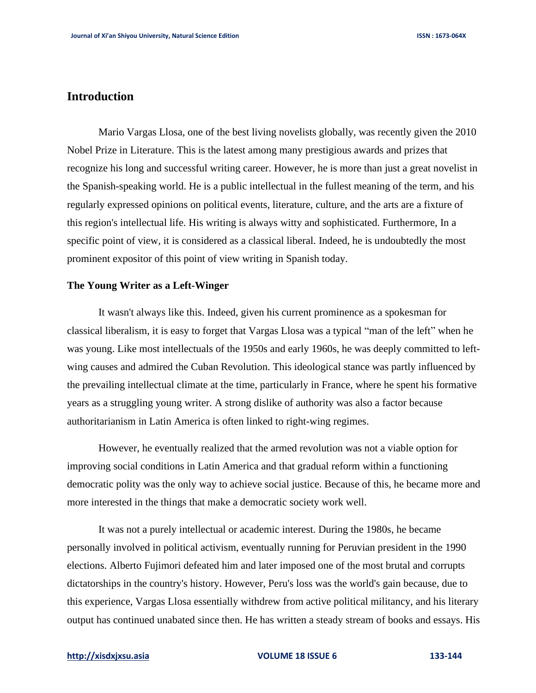# **Introduction**

Mario Vargas Llosa, one of the best living novelists globally, was recently given the 2010 Nobel Prize in Literature. This is the latest among many prestigious awards and prizes that recognize his long and successful writing career. However, he is more than just a great novelist in the Spanish-speaking world. He is a public intellectual in the fullest meaning of the term, and his regularly expressed opinions on political events, literature, culture, and the arts are a fixture of this region's intellectual life. His writing is always witty and sophisticated. Furthermore, In a specific point of view, it is considered as a classical liberal. Indeed, he is undoubtedly the most prominent expositor of this point of view writing in Spanish today.

### **The Young Writer as a Left-Winger**

It wasn't always like this. Indeed, given his current prominence as a spokesman for classical liberalism, it is easy to forget that Vargas Llosa was a typical "man of the left" when he was young. Like most intellectuals of the 1950s and early 1960s, he was deeply committed to leftwing causes and admired the Cuban Revolution. This ideological stance was partly influenced by the prevailing intellectual climate at the time, particularly in France, where he spent his formative years as a struggling young writer. A strong dislike of authority was also a factor because authoritarianism in Latin America is often linked to right-wing regimes.

However, he eventually realized that the armed revolution was not a viable option for improving social conditions in Latin America and that gradual reform within a functioning democratic polity was the only way to achieve social justice. Because of this, he became more and more interested in the things that make a democratic society work well.

It was not a purely intellectual or academic interest. During the 1980s, he became personally involved in political activism, eventually running for Peruvian president in the 1990 elections. Alberto Fujimori defeated him and later imposed one of the most brutal and corrupts dictatorships in the country's history. However, Peru's loss was the world's gain because, due to this experience, Vargas Llosa essentially withdrew from active political militancy, and his literary output has continued unabated since then. He has written a steady stream of books and essays. His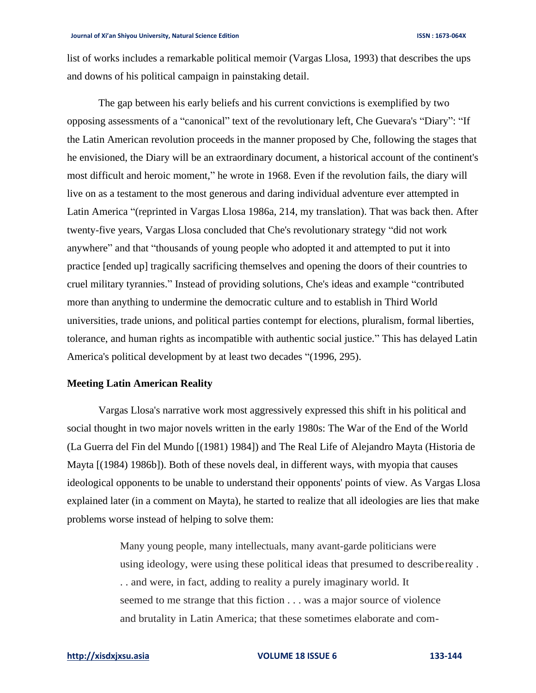list of works includes a remarkable political memoir (Vargas Llosa, 1993) that describes the ups and downs of his political campaign in painstaking detail.

The gap between his early beliefs and his current convictions is exemplified by two opposing assessments of a "canonical" text of the revolutionary left, Che Guevara's "Diary": "If the Latin American revolution proceeds in the manner proposed by Che, following the stages that he envisioned, the Diary will be an extraordinary document, a historical account of the continent's most difficult and heroic moment," he wrote in 1968. Even if the revolution fails, the diary will live on as a testament to the most generous and daring individual adventure ever attempted in Latin America "(reprinted in Vargas Llosa 1986a, 214, my translation). That was back then. After twenty-five years, Vargas Llosa concluded that Che's revolutionary strategy "did not work anywhere" and that "thousands of young people who adopted it and attempted to put it into practice [ended up] tragically sacrificing themselves and opening the doors of their countries to cruel military tyrannies." Instead of providing solutions, Che's ideas and example "contributed more than anything to undermine the democratic culture and to establish in Third World universities, trade unions, and political parties contempt for elections, pluralism, formal liberties, tolerance, and human rights as incompatible with authentic social justice." This has delayed Latin America's political development by at least two decades "(1996, 295).

### **Meeting Latin American Reality**

Vargas Llosa's narrative work most aggressively expressed this shift in his political and social thought in two major novels written in the early 1980s: The War of the End of the World (La Guerra del Fin del Mundo [(1981) 1984]) and The Real Life of Alejandro Mayta (Historia de Mayta [(1984) 1986b]). Both of these novels deal, in different ways, with myopia that causes ideological opponents to be unable to understand their opponents' points of view. As Vargas Llosa explained later (in a comment on Mayta), he started to realize that all ideologies are lies that make problems worse instead of helping to solve them:

> Many young people, many intellectuals, many avant-garde politicians were using ideology, were using these political ideas that presumed to describereality . . . and were, in fact, adding to reality a purely imaginary world. It seemed to me strange that this fiction . . . was a major source of violence and brutality in Latin America; that these sometimes elaborate and com-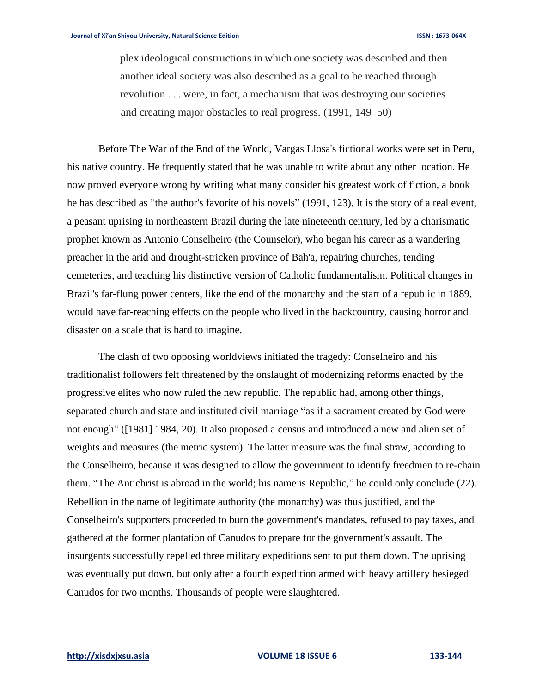plex ideological constructions in which one society was described and then another ideal society was also described as a goal to be reached through revolution . . . were, in fact, a mechanism that was destroying our societies and creating major obstacles to real progress. (1991, 149–50)

Before The War of the End of the World, Vargas Llosa's fictional works were set in Peru, his native country. He frequently stated that he was unable to write about any other location. He now proved everyone wrong by writing what many consider his greatest work of fiction, a book he has described as "the author's favorite of his novels" (1991, 123). It is the story of a real event, a peasant uprising in northeastern Brazil during the late nineteenth century, led by a charismatic prophet known as Antonio Conselheiro (the Counselor), who began his career as a wandering preacher in the arid and drought-stricken province of Bah'a, repairing churches, tending cemeteries, and teaching his distinctive version of Catholic fundamentalism. Political changes in Brazil's far-flung power centers, like the end of the monarchy and the start of a republic in 1889, would have far-reaching effects on the people who lived in the backcountry, causing horror and disaster on a scale that is hard to imagine.

The clash of two opposing worldviews initiated the tragedy: Conselheiro and his traditionalist followers felt threatened by the onslaught of modernizing reforms enacted by the progressive elites who now ruled the new republic. The republic had, among other things, separated church and state and instituted civil marriage "as if a sacrament created by God were not enough" ([1981] 1984, 20). It also proposed a census and introduced a new and alien set of weights and measures (the metric system). The latter measure was the final straw, according to the Conselheiro, because it was designed to allow the government to identify freedmen to re-chain them. "The Antichrist is abroad in the world; his name is Republic," he could only conclude (22). Rebellion in the name of legitimate authority (the monarchy) was thus justified, and the Conselheiro's supporters proceeded to burn the government's mandates, refused to pay taxes, and gathered at the former plantation of Canudos to prepare for the government's assault. The insurgents successfully repelled three military expeditions sent to put them down. The uprising was eventually put down, but only after a fourth expedition armed with heavy artillery besieged Canudos for two months. Thousands of people were slaughtered.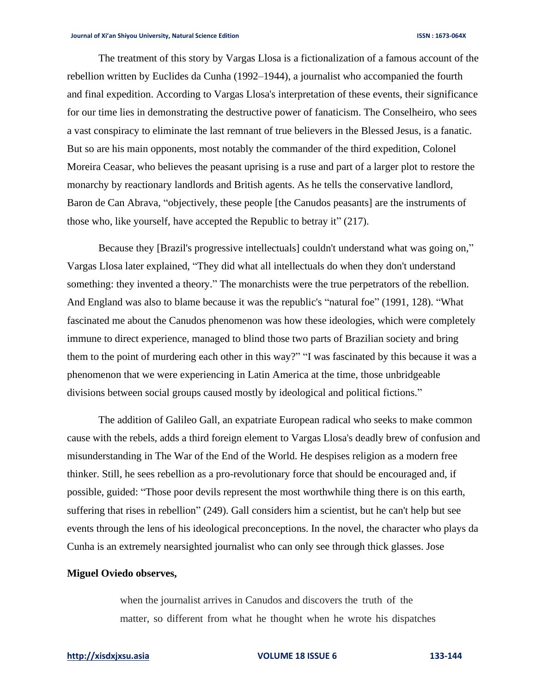The treatment of this story by Vargas Llosa is a fictionalization of a famous account of the rebellion written by Euclides da Cunha (1992–1944), a journalist who accompanied the fourth and final expedition. According to Vargas Llosa's interpretation of these events, their significance for our time lies in demonstrating the destructive power of fanaticism. The Conselheiro, who sees a vast conspiracy to eliminate the last remnant of true believers in the Blessed Jesus, is a fanatic. But so are his main opponents, most notably the commander of the third expedition, Colonel Moreira Ceasar, who believes the peasant uprising is a ruse and part of a larger plot to restore the monarchy by reactionary landlords and British agents. As he tells the conservative landlord, Baron de Can Abrava, "objectively, these people [the Canudos peasants] are the instruments of those who, like yourself, have accepted the Republic to betray it" (217).

Because they [Brazil's progressive intellectuals] couldn't understand what was going on," Vargas Llosa later explained, "They did what all intellectuals do when they don't understand something: they invented a theory." The monarchists were the true perpetrators of the rebellion. And England was also to blame because it was the republic's "natural foe" (1991, 128). "What fascinated me about the Canudos phenomenon was how these ideologies, which were completely immune to direct experience, managed to blind those two parts of Brazilian society and bring them to the point of murdering each other in this way?" "I was fascinated by this because it was a phenomenon that we were experiencing in Latin America at the time, those unbridgeable divisions between social groups caused mostly by ideological and political fictions."

The addition of Galileo Gall, an expatriate European radical who seeks to make common cause with the rebels, adds a third foreign element to Vargas Llosa's deadly brew of confusion and misunderstanding in The War of the End of the World. He despises religion as a modern free thinker. Still, he sees rebellion as a pro-revolutionary force that should be encouraged and, if possible, guided: "Those poor devils represent the most worthwhile thing there is on this earth, suffering that rises in rebellion" (249). Gall considers him a scientist, but he can't help but see events through the lens of his ideological preconceptions. In the novel, the character who plays da Cunha is an extremely nearsighted journalist who can only see through thick glasses. Jose

### **Miguel Oviedo observes,**

when the journalist arrives in Canudos and discovers the truth of the matter, so different from what he thought when he wrote his dispatches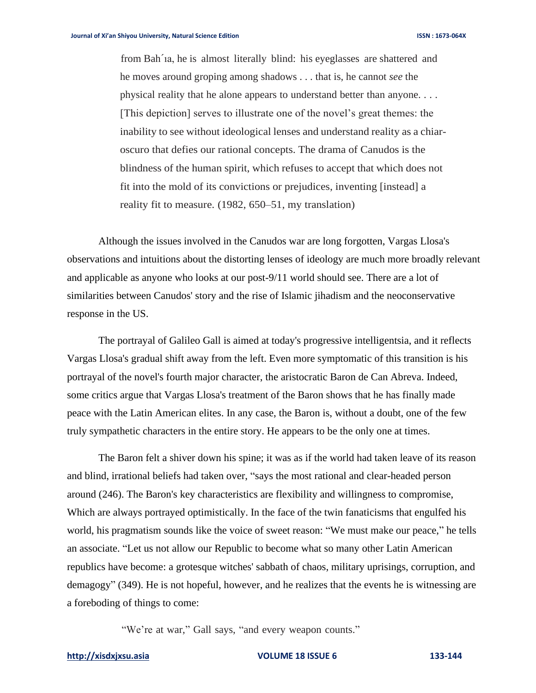from Bah´ıa, he is almost literally blind: his eyeglasses are shattered and he moves around groping among shadows . . . that is, he cannot *see* the physical reality that he alone appears to understand better than anyone. . . . [This depiction] serves to illustrate one of the novel's great themes: the inability to see without ideological lenses and understand reality as a chiaroscuro that defies our rational concepts. The drama of Canudos is the blindness of the human spirit, which refuses to accept that which does not fit into the mold of its convictions or prejudices, inventing [instead] a reality fit to measure. (1982, 650–51, my translation)

Although the issues involved in the Canudos war are long forgotten, Vargas Llosa's observations and intuitions about the distorting lenses of ideology are much more broadly relevant and applicable as anyone who looks at our post-9/11 world should see. There are a lot of similarities between Canudos' story and the rise of Islamic jihadism and the neoconservative response in the US.

The portrayal of Galileo Gall is aimed at today's progressive intelligentsia, and it reflects Vargas Llosa's gradual shift away from the left. Even more symptomatic of this transition is his portrayal of the novel's fourth major character, the aristocratic Baron de Can Abreva. Indeed, some critics argue that Vargas Llosa's treatment of the Baron shows that he has finally made peace with the Latin American elites. In any case, the Baron is, without a doubt, one of the few truly sympathetic characters in the entire story. He appears to be the only one at times.

The Baron felt a shiver down his spine; it was as if the world had taken leave of its reason and blind, irrational beliefs had taken over, "says the most rational and clear-headed person around (246). The Baron's key characteristics are flexibility and willingness to compromise, Which are always portrayed optimistically. In the face of the twin fanaticisms that engulfed his world, his pragmatism sounds like the voice of sweet reason: "We must make our peace," he tells an associate. "Let us not allow our Republic to become what so many other Latin American republics have become: a grotesque witches' sabbath of chaos, military uprisings, corruption, and demagogy" (349). He is not hopeful, however, and he realizes that the events he is witnessing are a foreboding of things to come:

"We're at war," Gall says, "and every weapon counts."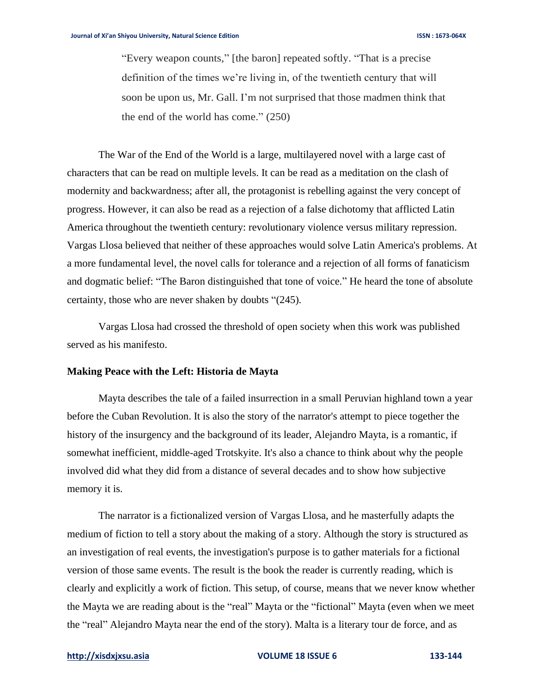"Every weapon counts," [the baron] repeated softly. "That is a precise definition of the times we're living in, of the twentieth century that will soon be upon us, Mr. Gall. I'm not surprised that those madmen think that the end of the world has come." (250)

The War of the End of the World is a large, multilayered novel with a large cast of characters that can be read on multiple levels. It can be read as a meditation on the clash of modernity and backwardness; after all, the protagonist is rebelling against the very concept of progress. However, it can also be read as a rejection of a false dichotomy that afflicted Latin America throughout the twentieth century: revolutionary violence versus military repression. Vargas Llosa believed that neither of these approaches would solve Latin America's problems. At a more fundamental level, the novel calls for tolerance and a rejection of all forms of fanaticism and dogmatic belief: "The Baron distinguished that tone of voice." He heard the tone of absolute certainty, those who are never shaken by doubts "(245).

Vargas Llosa had crossed the threshold of open society when this work was published served as his manifesto.

### **Making Peace with the Left: Historia de Mayta**

Mayta describes the tale of a failed insurrection in a small Peruvian highland town a year before the Cuban Revolution. It is also the story of the narrator's attempt to piece together the history of the insurgency and the background of its leader, Alejandro Mayta, is a romantic, if somewhat inefficient, middle-aged Trotskyite. It's also a chance to think about why the people involved did what they did from a distance of several decades and to show how subjective memory it is.

The narrator is a fictionalized version of Vargas Llosa, and he masterfully adapts the medium of fiction to tell a story about the making of a story. Although the story is structured as an investigation of real events, the investigation's purpose is to gather materials for a fictional version of those same events. The result is the book the reader is currently reading, which is clearly and explicitly a work of fiction. This setup, of course, means that we never know whether the Mayta we are reading about is the "real" Mayta or the "fictional" Mayta (even when we meet the "real" Alejandro Mayta near the end of the story). Malta is a literary tour de force, and as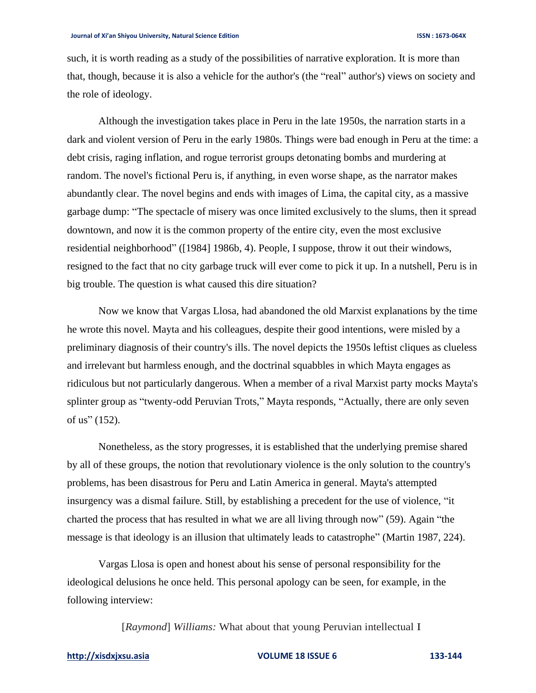such, it is worth reading as a study of the possibilities of narrative exploration. It is more than that, though, because it is also a vehicle for the author's (the "real" author's) views on society and the role of ideology.

Although the investigation takes place in Peru in the late 1950s, the narration starts in a dark and violent version of Peru in the early 1980s. Things were bad enough in Peru at the time: a debt crisis, raging inflation, and rogue terrorist groups detonating bombs and murdering at random. The novel's fictional Peru is, if anything, in even worse shape, as the narrator makes abundantly clear. The novel begins and ends with images of Lima, the capital city, as a massive garbage dump: "The spectacle of misery was once limited exclusively to the slums, then it spread downtown, and now it is the common property of the entire city, even the most exclusive residential neighborhood" ([1984] 1986b, 4). People, I suppose, throw it out their windows, resigned to the fact that no city garbage truck will ever come to pick it up. In a nutshell, Peru is in big trouble. The question is what caused this dire situation?

Now we know that Vargas Llosa, had abandoned the old Marxist explanations by the time he wrote this novel. Mayta and his colleagues, despite their good intentions, were misled by a preliminary diagnosis of their country's ills. The novel depicts the 1950s leftist cliques as clueless and irrelevant but harmless enough, and the doctrinal squabbles in which Mayta engages as ridiculous but not particularly dangerous. When a member of a rival Marxist party mocks Mayta's splinter group as "twenty-odd Peruvian Trots," Mayta responds, "Actually, there are only seven of us" (152).

Nonetheless, as the story progresses, it is established that the underlying premise shared by all of these groups, the notion that revolutionary violence is the only solution to the country's problems, has been disastrous for Peru and Latin America in general. Mayta's attempted insurgency was a dismal failure. Still, by establishing a precedent for the use of violence, "it charted the process that has resulted in what we are all living through now" (59). Again "the message is that ideology is an illusion that ultimately leads to catastrophe" (Martin 1987, 224).

Vargas Llosa is open and honest about his sense of personal responsibility for the ideological delusions he once held. This personal apology can be seen, for example, in the following interview:

[*Raymond*] *Williams:* What about that young Peruvian intellectual I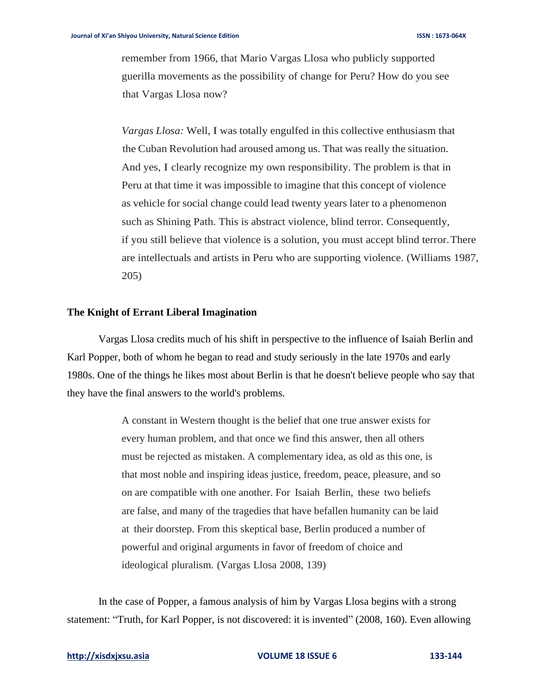remember from 1966, that Mario Vargas Llosa who publicly supported guerilla movements as the possibility of change for Peru? How do you see that Vargas Llosa now?

*Vargas Llosa:* Well, I was totally engulfed in this collective enthusiasm that the Cuban Revolution had aroused among us. That was really the situation. And yes, I clearly recognize my own responsibility. The problem is that in Peru at that time it was impossible to imagine that this concept of violence as vehicle for social change could lead twenty years later to a phenomenon such as Shining Path. This is abstract violence, blind terror. Consequently, if you still believe that violence is a solution, you must accept blind terror.There are intellectuals and artists in Peru who are supporting violence. (Williams 1987, 205)

### **The Knight of Errant Liberal Imagination**

Vargas Llosa credits much of his shift in perspective to the influence of Isaiah Berlin and Karl Popper, both of whom he began to read and study seriously in the late 1970s and early 1980s. One of the things he likes most about Berlin is that he doesn't believe people who say that they have the final answers to the world's problems.

> A constant in Western thought is the belief that one true answer exists for every human problem, and that once we find this answer, then all others must be rejected as mistaken. A complementary idea, as old as this one, is that most noble and inspiring ideas justice, freedom, peace, pleasure, and so on are compatible with one another. For Isaiah Berlin, these two beliefs are false, and many of the tragedies that have befallen humanity can be laid at their doorstep. From this skeptical base, Berlin produced a number of powerful and original arguments in favor of freedom of choice and ideological pluralism. (Vargas Llosa 2008, 139)

In the case of Popper, a famous analysis of him by Vargas Llosa begins with a strong statement: "Truth, for Karl Popper, is not discovered: it is invented" (2008, 160). Even allowing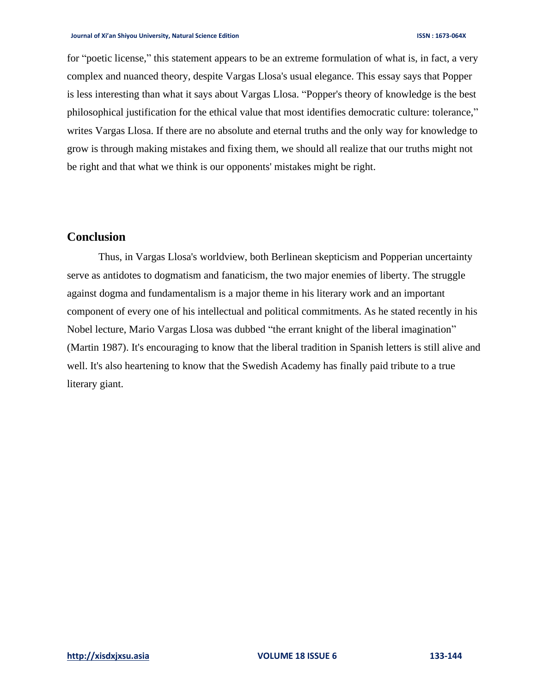for "poetic license," this statement appears to be an extreme formulation of what is, in fact, a very complex and nuanced theory, despite Vargas Llosa's usual elegance. This essay says that Popper is less interesting than what it says about Vargas Llosa. "Popper's theory of knowledge is the best philosophical justification for the ethical value that most identifies democratic culture: tolerance," writes Vargas Llosa. If there are no absolute and eternal truths and the only way for knowledge to grow is through making mistakes and fixing them, we should all realize that our truths might not be right and that what we think is our opponents' mistakes might be right.

# **Conclusion**

Thus, in Vargas Llosa's worldview, both Berlinean skepticism and Popperian uncertainty serve as antidotes to dogmatism and fanaticism, the two major enemies of liberty. The struggle against dogma and fundamentalism is a major theme in his literary work and an important component of every one of his intellectual and political commitments. As he stated recently in his Nobel lecture, Mario Vargas Llosa was dubbed "the errant knight of the liberal imagination" (Martin 1987). It's encouraging to know that the liberal tradition in Spanish letters is still alive and well. It's also heartening to know that the Swedish Academy has finally paid tribute to a true literary giant.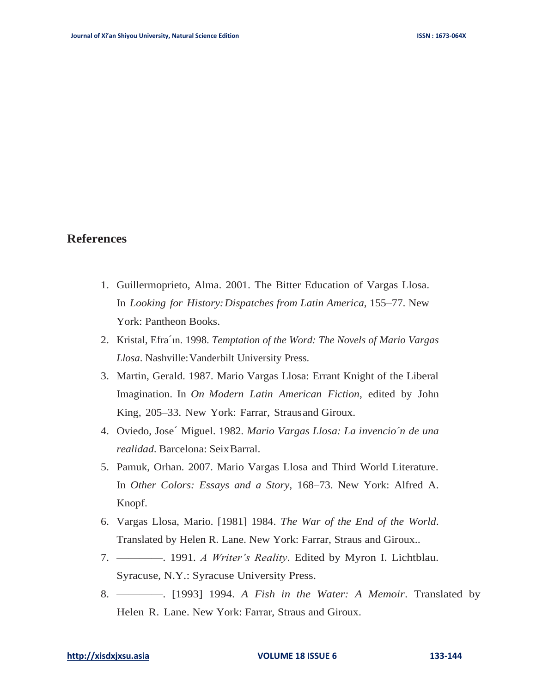# **References**

- 1. Guillermoprieto, Alma. 2001. The Bitter Education of Vargas Llosa. In *Looking for History:Dispatches from Latin America*, 155–77. New York: Pantheon Books.
- 2. Kristal, Efra´ın. 1998. *Temptation of the Word: The Novels of Mario Vargas Llosa*. Nashville:Vanderbilt University Press.
- 3. Martin, Gerald. 1987. Mario Vargas Llosa: Errant Knight of the Liberal Imagination. In *On Modern Latin American Fiction*, edited by John King, 205–33. New York: Farrar, Strausand Giroux.
- 4. Oviedo, Jose´ Miguel. 1982. *Mario Vargas Llosa: La invencio´n de una realidad*. Barcelona: SeixBarral.
- 5. Pamuk, Orhan. 2007. Mario Vargas Llosa and Third World Literature. In *Other Colors: Essays and a Story*, 168–73. New York: Alfred A. Knopf.
- 6. Vargas Llosa, Mario. [1981] 1984. *The War of the End of the World*. Translated by Helen R. Lane. New York: Farrar, Straus and Giroux..
- 7. ————. 1991. *A Writer's Reality*. Edited by Myron I. Lichtblau. Syracuse, N.Y.: Syracuse University Press.
- 8. ————. [1993] 1994. *A Fish in the Water: A Memoir*. Translated by Helen R. Lane. New York: Farrar, Straus and Giroux.